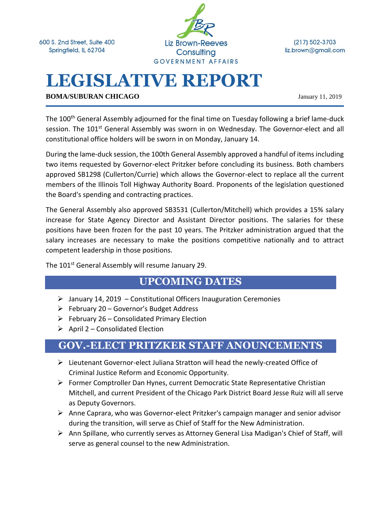600 S. 2nd Street, Suite 400 Springfield, IL 62704



 $(217) 502 - 3703$ liz.brown@gmail.com

# **LEGISLATIVE REPORT**

**BOMA/SUBURAN CHICAGO** January 11, 2019

The 100<sup>th</sup> General Assembly adjourned for the final time on Tuesday following a brief lame-duck session. The 101<sup>st</sup> General Assembly was sworn in on Wednesday. The Governor-elect and all constitutional office holders will be sworn in on Monday, January 14.

During the lame-duck session, the 100th General Assembly approved a handful of items including two items requested by Governor-elect Pritzker before concluding its business. Both chambers approved SB1298 (Cullerton/Currie) which allows the Governor-elect to replace all the current members of the Illinois Toll Highway Authority Board. Proponents of the legislation questioned the Board's spending and contracting practices.

The General Assembly also approved SB3531 (Cullerton/Mitchell) which provides a 15% salary increase for State Agency Director and Assistant Director positions. The salaries for these positions have been frozen for the past 10 years. The Pritzker administration argued that the salary increases are necessary to make the positions competitive nationally and to attract competent leadership in those positions.

The 101<sup>st</sup> General Assembly will resume January 29.

#### **UPCOMING DATES**

- $\triangleright$  January 14, 2019 Constitutional Officers Inauguration Ceremonies
- $\triangleright$  February 20 Governor's Budget Address
- $\triangleright$  February 26 Consolidated Primary Election
- $\triangleright$  April 2 Consolidated Election

#### **GOV.-ELECT PRITZKER STAFF ANOUNCEMENTS**

- ➢ Lieutenant Governor-elect Juliana Stratton will head the newly-created Office of Criminal Justice Reform and Economic Opportunity.
- ➢ Former Comptroller Dan Hynes, current Democratic State Representative Christian Mitchell, and current President of the Chicago Park District Board Jesse Ruiz will all serve as Deputy Governors.
- $\triangleright$  Anne Caprara, who was Governor-elect Pritzker's campaign manager and senior advisor during the transition, will serve as Chief of Staff for the New Administration.
- ➢ Ann Spillane, who currently serves as Attorney General Lisa Madigan's Chief of Staff, will serve as general counsel to the new Administration.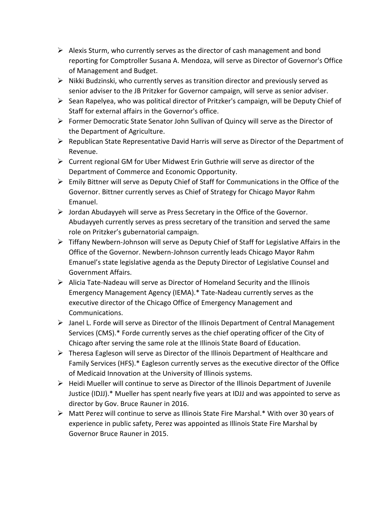- $\triangleright$  Alexis Sturm, who currently serves as the director of cash management and bond reporting for Comptroller Susana A. Mendoza, will serve as Director of Governor's Office of Management and Budget.
- ➢ Nikki Budzinski, who currently serves as transition director and previously served as senior adviser to the JB Pritzker for Governor campaign, will serve as senior adviser.
- ➢ Sean Rapelyea, who was political director of Pritzker's campaign, will be Deputy Chief of Staff for external affairs in the Governor's office.
- ➢ Former Democratic State Senator John Sullivan of Quincy will serve as the Director of the Department of Agriculture.
- $\triangleright$  Republican State Representative David Harris will serve as Director of the Department of Revenue.
- $\triangleright$  Current regional GM for Uber Midwest Erin Guthrie will serve as director of the Department of Commerce and Economic Opportunity.
- ➢ Emily Bittner will serve as Deputy Chief of Staff for Communications in the Office of the Governor. Bittner currently serves as Chief of Strategy for Chicago Mayor Rahm Emanuel.
- ➢ Jordan Abudayyeh will serve as Press Secretary in the Office of the Governor. Abudayyeh currently serves as press secretary of the transition and served the same role on Pritzker's gubernatorial campaign.
- ➢ Tiffany Newbern-Johnson will serve as Deputy Chief of Staff for Legislative Affairs in the Office of the Governor. Newbern-Johnson currently leads Chicago Mayor Rahm Emanuel's state legislative agenda as the Deputy Director of Legislative Counsel and Government Affairs.
- $\triangleright$  Alicia Tate-Nadeau will serve as Director of Homeland Security and the Illinois Emergency Management Agency (IEMA).\* Tate-Nadeau currently serves as the executive director of the Chicago Office of Emergency Management and Communications.
- ➢ Janel L. Forde will serve as Director of the Illinois Department of Central Management Services (CMS).\* Forde currently serves as the chief operating officer of the City of Chicago after serving the same role at the Illinois State Board of Education.
- $\triangleright$  Theresa Eagleson will serve as Director of the Illinois Department of Healthcare and Family Services (HFS).\* Eagleson currently serves as the executive director of the Office of Medicaid Innovation at the University of Illinois systems.
- $\triangleright$  Heidi Mueller will continue to serve as Director of the Illinois Department of Juvenile Justice (IDJJ).\* Mueller has spent nearly five years at IDJJ and was appointed to serve as director by Gov. Bruce Rauner in 2016.
- ➢ Matt Perez will continue to serve as Illinois State Fire Marshal.\* With over 30 years of experience in public safety, Perez was appointed as Illinois State Fire Marshal by Governor Bruce Rauner in 2015.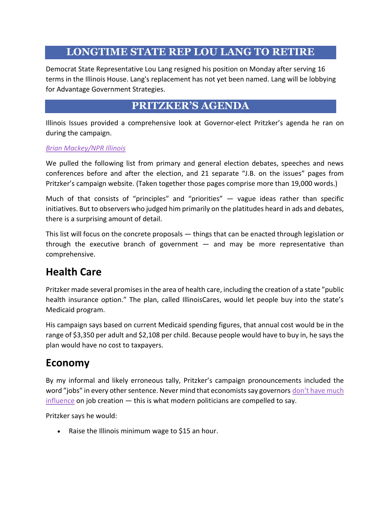#### **LONGTIME STATE REP LOU LANG TO RETIRE**

Democrat State Representative Lou Lang resigned his position on Monday after serving 16 terms in the Illinois House. Lang's replacement has not yet been named. Lang will be lobbying for Advantage Government Strategies.

#### **PRITZKER'S AGENDA**

Illinois Issues provided a comprehensive look at Governor-elect Pritzker's agenda he ran on during the campaign.

#### *[Brian Mackey/NPR Illinois](http://www.nprillinois.org/post/pritzker-agenda)*

We pulled the following list from primary and general election debates, speeches and news conferences before and after the election, and 21 separate "J.B. on the issues" pages from Pritzker's campaign website. (Taken together those pages comprise more than 19,000 words.)

Much of that consists of "principles" and "priorities"  $-$  vague ideas rather than specific initiatives. But to observers who judged him primarily on the platitudes heard in ads and debates, there is a surprising amount of detail.

This list will focus on the concrete proposals — things that can be enacted through legislation or through the executive branch of government  $-$  and may be more representative than comprehensive.

# **Health Care**

Pritzker made several promises in the area of health care, including the creation of a state "public health insurance option." The plan, called IllinoisCares, would let people buy into the state's Medicaid program.

His campaign says based on current Medicaid spending figures, that annual cost would be in the range of \$3,350 per adult and \$2,108 per child. Because people would have to buy in, he says the plan would have no cost to taxpayers.

#### **Economy**

By my informal and likely erroneous tally, Pritzker's campaign pronouncements included the word "jobs" in every other sentence. Never mind that economists say governors don't have much [influence](http://www.nprillinois.org/post/can-governor-really-create-jobs) on job creation — this is what modern politicians are compelled to say.

Pritzker says he would:

• Raise the Illinois minimum wage to \$15 an hour.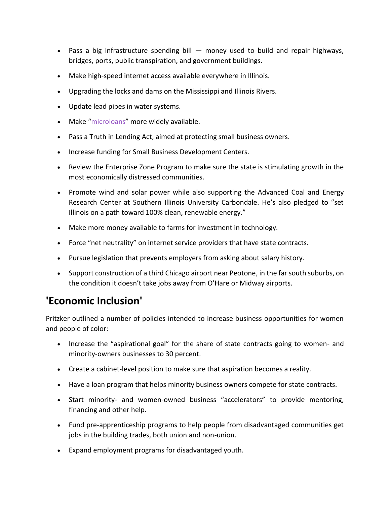- Pass a big infrastructure spending bill money used to build and repair highways, bridges, ports, public transpiration, and government buildings.
- Make high-speed internet access available everywhere in Illinois.
- Upgrading the locks and dams on the Mississippi and Illinois Rivers.
- Update lead pipes in water systems.
- Make "[microloans](https://en.wikipedia.org/wiki/Microcredit)" more widely available.
- Pass a Truth in Lending Act, aimed at protecting small business owners.
- Increase funding for Small Business Development Centers.
- Review the Enterprise Zone Program to make sure the state is stimulating growth in the most economically distressed communities.
- Promote wind and solar power while also supporting the Advanced Coal and Energy Research Center at Southern Illinois University Carbondale. He's also pledged to "set Illinois on a path toward 100% clean, renewable energy."
- Make more money available to farms for investment in technology.
- Force "net neutrality" on internet service providers that have state contracts.
- Pursue legislation that prevents employers from asking about salary history.
- Support construction of a third Chicago airport near Peotone, in the far south suburbs, on the condition it doesn't take jobs away from O'Hare or Midway airports.

# **'Economic Inclusion'**

Pritzker outlined a number of policies intended to increase business opportunities for women and people of color:

- Increase the "aspirational goal" for the share of state contracts going to women- and minority-owners businesses to 30 percent.
- Create a cabinet-level position to make sure that aspiration becomes a reality.
- Have a loan program that helps minority business owners compete for state contracts.
- Start minority- and women-owned business "accelerators" to provide mentoring, financing and other help.
- Fund pre-apprenticeship programs to help people from disadvantaged communities get jobs in the building trades, both union and non-union.
- Expand employment programs for disadvantaged youth.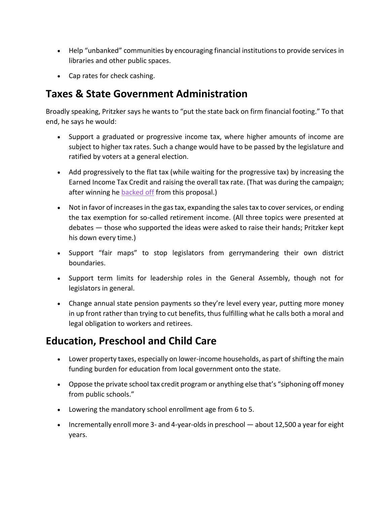- Help "unbanked" communities by encouraging financial institutions to provide services in libraries and other public spaces.
- Cap rates for check cashing.

# **Taxes & State Government Administration**

Broadly speaking, Pritzker says he wants to "put the state back on firm financial footing." To that end, he says he would:

- Support a graduated or progressive income tax, where higher amounts of income are subject to higher tax rates. Such a change would have to be passed by the legislature and ratified by voters at a general election.
- Add progressively to the flat tax (while waiting for the progressive tax) by increasing the Earned Income Tax Credit and raising the overall tax rate. (That was during the campaign; after winning he **[backed off](https://news.wttw.com/2018/11/07/gov-elect-jb-pritzker-backs-temporary-tax-plan)** from this proposal.)
- Not in favor of increases in the gas tax, expanding the sales tax to cover services, or ending the tax exemption for so-called retirement income. (All three topics were presented at debates — those who supported the ideas were asked to raise their hands; Pritzker kept his down every time.)
- Support "fair maps" to stop legislators from gerrymandering their own district boundaries.
- Support term limits for leadership roles in the General Assembly, though not for legislators in general.
- Change annual state pension payments so they're level every year, putting more money in up front rather than trying to cut benefits, thus fulfilling what he calls both a moral and legal obligation to workers and retirees.

# **Education, Preschool and Child Care**

- Lower property taxes, especially on lower-income households, as part of shifting the main funding burden for education from local government onto the state.
- Oppose the private school tax credit program or anything else that's "siphoning off money from public schools."
- Lowering the mandatory school enrollment age from 6 to 5.
- Incrementally enroll more 3- and 4-year-olds in preschool about 12,500 a year for eight years.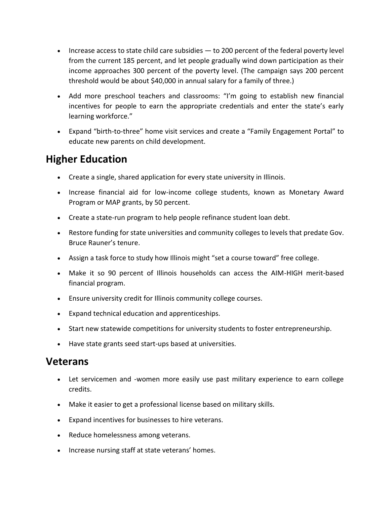- Increase access to state child care subsidies to 200 percent of the federal poverty level from the current 185 percent, and let people gradually wind down participation as their income approaches 300 percent of the poverty level. (The campaign says 200 percent threshold would be about \$40,000 in annual salary for a family of three.)
- Add more preschool teachers and classrooms: "I'm going to establish new financial incentives for people to earn the appropriate credentials and enter the state's early learning workforce."
- Expand "birth-to-three" home visit services and create a "Family Engagement Portal" to educate new parents on child development.

# **Higher Education**

- Create a single, shared application for every state university in Illinois.
- Increase financial aid for low-income college students, known as Monetary Award Program or MAP grants, by 50 percent.
- Create a state-run program to help people refinance student loan debt.
- Restore funding for state universities and community colleges to levels that predate Gov. Bruce Rauner's tenure.
- Assign a task force to study how Illinois might "set a course toward" free college.
- Make it so 90 percent of Illinois households can access the AIM-HIGH merit-based financial program.
- Ensure university credit for Illinois community college courses.
- Expand technical education and apprenticeships.
- Start new statewide competitions for university students to foster entrepreneurship.
- Have state grants seed start-ups based at universities.

#### **Veterans**

- Let servicemen and -women more easily use past military experience to earn college credits.
- Make it easier to get a professional license based on military skills.
- Expand incentives for businesses to hire veterans.
- Reduce homelessness among veterans.
- Increase nursing staff at state veterans' homes.